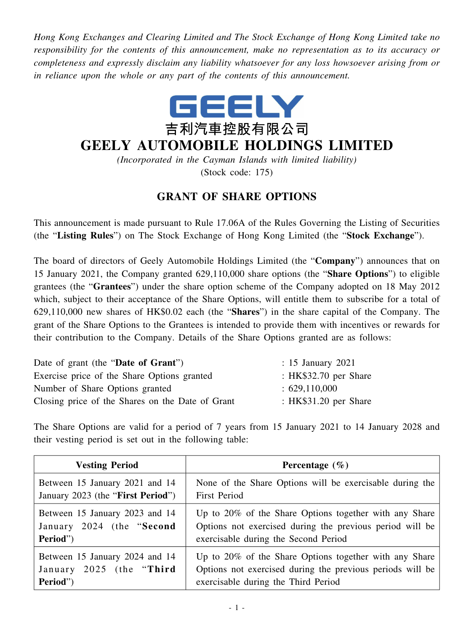*Hong Kong Exchanges and Clearing Limited and The Stock Exchange of Hong Kong Limited take no responsibility for the contents of this announcement, make no representation as to its accuracy or completeness and expressly disclaim any liability whatsoever for any loss howsoever arising from or in reliance upon the whole or any part of the contents of this announcement.*



## **GEELY AUTOMOBILE HOLDINGS LIMITED**

*(Incorporated in the Cayman Islands with limited liability)* (Stock code: 175)

## **GRANT OF SHARE OPTIONS**

This announcement is made pursuant to Rule 17.06A of the Rules Governing the Listing of Securities (the "**Listing Rules**") on The Stock Exchange of Hong Kong Limited (the "**Stock Exchange**").

The board of directors of Geely Automobile Holdings Limited (the "**Company**") announces that on 15 January 2021, the Company granted 629,110,000 share options (the "**Share Options**") to eligible grantees (the "**Grantees**") under the share option scheme of the Company adopted on 18 May 2012 which, subject to their acceptance of the Share Options, will entitle them to subscribe for a total of 629,110,000 new shares of HK\$0.02 each (the "**Shares**") in the share capital of the Company. The grant of the Share Options to the Grantees is intended to provide them with incentives or rewards for their contribution to the Company. Details of the Share Options granted are as follows:

| Date of grant (the "Date of Grant")              | $: 15$ January 2021     |
|--------------------------------------------------|-------------------------|
| Exercise price of the Share Options granted      | : HK $$32.70$ per Share |
| Number of Share Options granted                  | :629,110,000            |
| Closing price of the Shares on the Date of Grant | : $HK$31.20$ per Share  |

The Share Options are valid for a period of 7 years from 15 January 2021 to 14 January 2028 and their vesting period is set out in the following table:

| <b>Vesting Period</b>             | Percentage $(\% )$                                        |
|-----------------------------------|-----------------------------------------------------------|
| Between 15 January 2021 and 14    | None of the Share Options will be exercisable during the  |
| January 2023 (the "First Period") | <b>First Period</b>                                       |
| Between 15 January 2023 and 14    | Up to $20\%$ of the Share Options together with any Share |
| January 2024 (the "Second"        | Options not exercised during the previous period will be  |
| Period")                          | exercisable during the Second Period                      |
| Between 15 January 2024 and 14    | Up to $20\%$ of the Share Options together with any Share |
| January 2025 (the "Third          | Options not exercised during the previous periods will be |
| Period")                          | exercisable during the Third Period                       |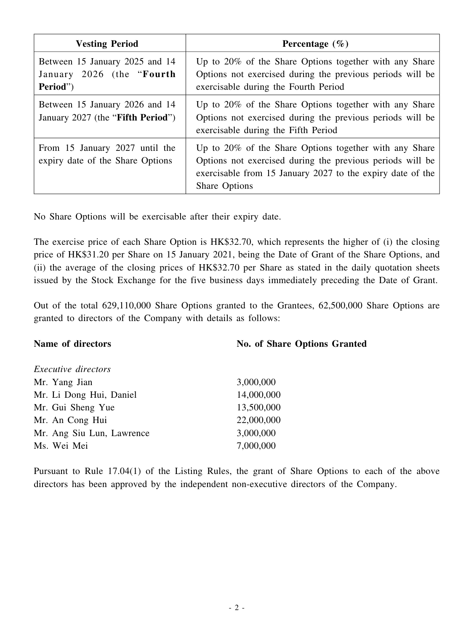| <b>Vesting Period</b>                                                    | Percentage $(\% )$                                                                                                                                                                                           |
|--------------------------------------------------------------------------|--------------------------------------------------------------------------------------------------------------------------------------------------------------------------------------------------------------|
| Between 15 January 2025 and 14<br>January 2026 (the "Fourth"<br>Period") | Up to 20% of the Share Options together with any Share<br>Options not exercised during the previous periods will be<br>exercisable during the Fourth Period                                                  |
| Between 15 January 2026 and 14<br>January 2027 (the "Fifth Period")      | Up to $20\%$ of the Share Options together with any Share<br>Options not exercised during the previous periods will be<br>exercisable during the Fifth Period                                                |
| From 15 January 2027 until the<br>expiry date of the Share Options       | Up to $20\%$ of the Share Options together with any Share<br>Options not exercised during the previous periods will be<br>exercisable from 15 January 2027 to the expiry date of the<br><b>Share Options</b> |

No Share Options will be exercisable after their expiry date.

The exercise price of each Share Option is HK\$32.70, which represents the higher of (i) the closing price of HK\$31.20 per Share on 15 January 2021, being the Date of Grant of the Share Options, and (ii) the average of the closing prices of HK\$32.70 per Share as stated in the daily quotation sheets issued by the Stock Exchange for the five business days immediately preceding the Date of Grant.

Out of the total 629,110,000 Share Options granted to the Grantees, 62,500,000 Share Options are granted to directors of the Company with details as follows:

| Name of directors          | <b>No. of Share Options Granted</b> |
|----------------------------|-------------------------------------|
| <i>Executive directors</i> |                                     |
| Mr. Yang Jian              | 3,000,000                           |
| Mr. Li Dong Hui, Daniel    | 14,000,000                          |
| Mr. Gui Sheng Yue          | 13,500,000                          |
| Mr. An Cong Hui            | 22,000,000                          |
| Mr. Ang Siu Lun, Lawrence  | 3,000,000                           |
| Ms. Wei Mei                | 7,000,000                           |

Pursuant to Rule 17.04(1) of the Listing Rules, the grant of Share Options to each of the above directors has been approved by the independent non-executive directors of the Company.